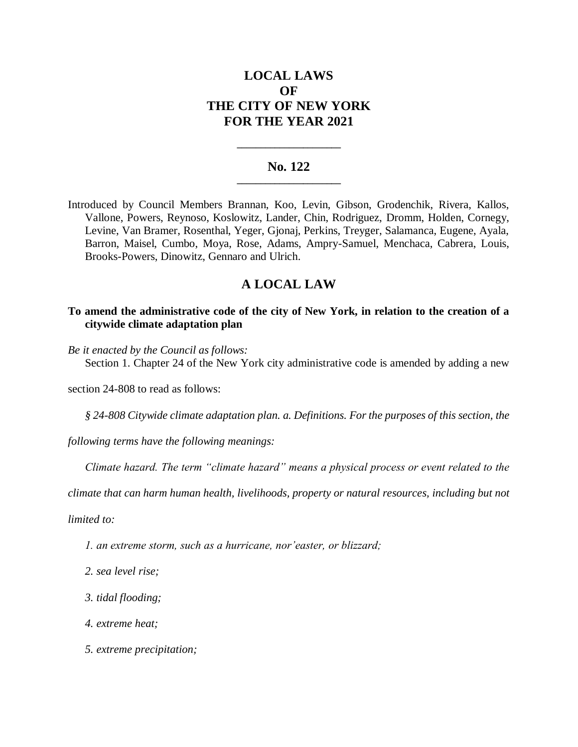# **LOCAL LAWS OF THE CITY OF NEW YORK FOR THE YEAR 2021**

## **No. 122 \_\_\_\_\_\_\_\_\_\_\_\_\_\_\_\_\_\_\_\_\_\_**

**\_\_\_\_\_\_\_\_\_\_\_\_\_\_\_\_\_\_\_\_\_\_**

Introduced by Council Members Brannan, Koo, Levin, Gibson, Grodenchik, Rivera, Kallos, Vallone, Powers, Reynoso, Koslowitz, Lander, Chin, Rodriguez, Dromm, Holden, Cornegy, Levine, Van Bramer, Rosenthal, Yeger, Gjonaj, Perkins, Treyger, Salamanca, Eugene, Ayala, Barron, Maisel, Cumbo, Moya, Rose, Adams, Ampry-Samuel, Menchaca, Cabrera, Louis, Brooks-Powers, Dinowitz, Gennaro and Ulrich.

## **A LOCAL LAW**

### **To amend the administrative code of the city of New York, in relation to the creation of a citywide climate adaptation plan**

*Be it enacted by the Council as follows:*

Section 1. Chapter 24 of the New York city administrative code is amended by adding a new

section 24-808 to read as follows:

*§ 24-808 Citywide climate adaptation plan. a. Definitions. For the purposes of this section, the* 

*following terms have the following meanings:*

*Climate hazard. The term "climate hazard" means a physical process or event related to the* 

*climate that can harm human health, livelihoods, property or natural resources, including but not* 

*limited to:*

- *1. an extreme storm, such as a hurricane, nor'easter, or blizzard;*
- *2. sea level rise;*
- *3. tidal flooding;*
- *4. extreme heat;*
- *5. extreme precipitation;*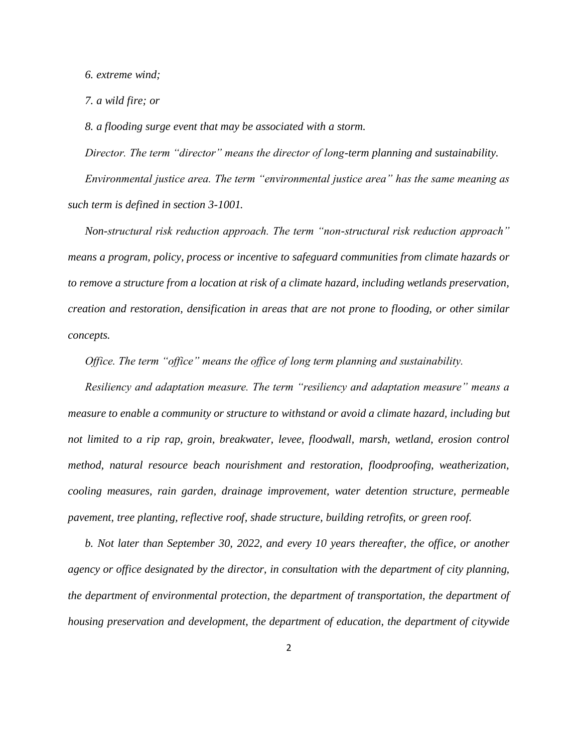*6. extreme wind;* 

*7. a wild fire; or* 

*8. a flooding surge event that may be associated with a storm.*

*Director. The term "director" means the director of long-term planning and sustainability. Environmental justice area. The term "environmental justice area" has the same meaning as such term is defined in section 3-1001.*

*Non-structural risk reduction approach. The term "non-structural risk reduction approach" means a program, policy, process or incentive to safeguard communities from climate hazards or to remove a structure from a location at risk of a climate hazard, including wetlands preservation, creation and restoration, densification in areas that are not prone to flooding, or other similar concepts.*

*Office. The term "office" means the office of long term planning and sustainability.*

*Resiliency and adaptation measure. The term "resiliency and adaptation measure" means a measure to enable a community or structure to withstand or avoid a climate hazard, including but not limited to a rip rap, groin, breakwater, levee, floodwall, marsh, wetland, erosion control method, natural resource beach nourishment and restoration, floodproofing, weatherization, cooling measures, rain garden, drainage improvement, water detention structure, permeable pavement, tree planting, reflective roof, shade structure, building retrofits, or green roof.*

*b. Not later than September 30, 2022, and every 10 years thereafter, the office, or another agency or office designated by the director, in consultation with the department of city planning, the department of environmental protection, the department of transportation, the department of housing preservation and development, the department of education, the department of citywide*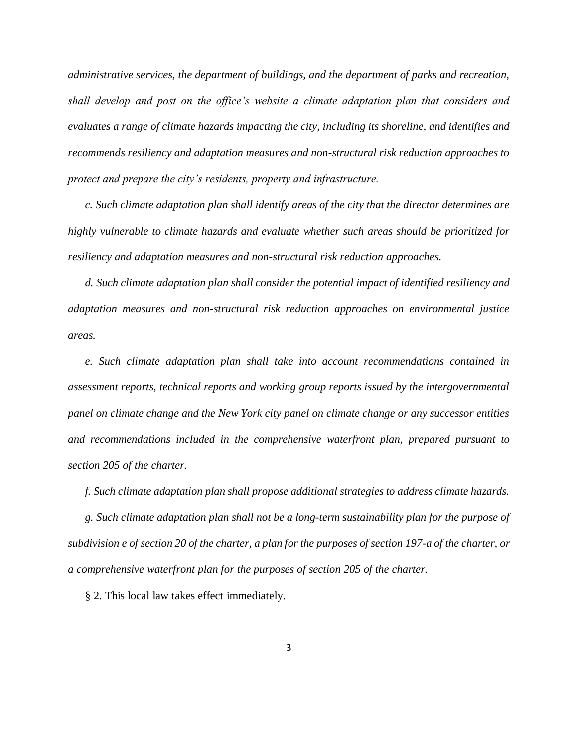*administrative services, the department of buildings, and the department of parks and recreation, shall develop and post on the office's website a climate adaptation plan that considers and evaluates a range of climate hazards impacting the city, including its shoreline, and identifies and recommends resiliency and adaptation measures and non-structural risk reduction approaches to protect and prepare the city's residents, property and infrastructure.* 

*c. Such climate adaptation plan shall identify areas of the city that the director determines are highly vulnerable to climate hazards and evaluate whether such areas should be prioritized for resiliency and adaptation measures and non-structural risk reduction approaches.*

*d. Such climate adaptation plan shall consider the potential impact of identified resiliency and adaptation measures and non-structural risk reduction approaches on environmental justice areas.*

*e. Such climate adaptation plan shall take into account recommendations contained in assessment reports, technical reports and working group reports issued by the intergovernmental panel on climate change and the New York city panel on climate change or any successor entities and recommendations included in the comprehensive waterfront plan, prepared pursuant to section 205 of the charter.*

*f. Such climate adaptation plan shall propose additional strategies to address climate hazards.* 

*g. Such climate adaptation plan shall not be a long-term sustainability plan for the purpose of subdivision e of section 20 of the charter, a plan for the purposes of section 197-a of the charter, or a comprehensive waterfront plan for the purposes of section 205 of the charter.*

§ 2. This local law takes effect immediately.